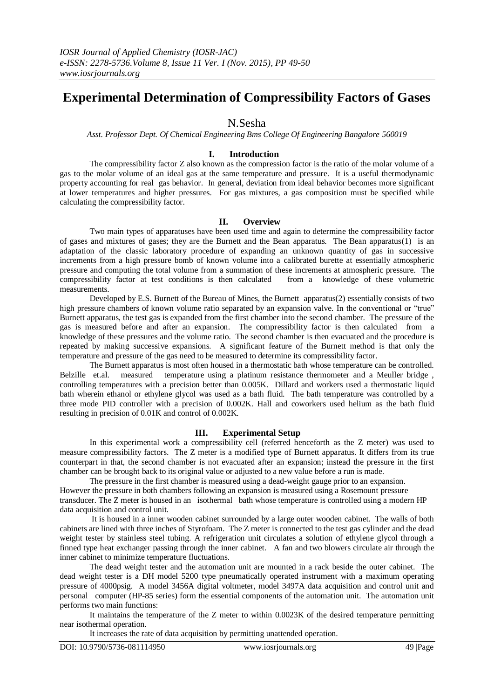# **Experimental Determination of Compressibility Factors of Gases**

# N.Sesha

*Asst. Professor Dept. Of Chemical Engineering Bms College Of Engineering Bangalore 560019*

# **I. Introduction**

The compressibility factor Z also known as the compression factor is the ratio of the molar volume of a gas to the molar volume of an ideal gas at the same temperature and pressure. It is a useful thermodynamic property accounting for real gas behavior. In general, deviation from ideal behavior becomes more significant at lower temperatures and higher pressures. For gas mixtures, a gas composition must be specified while calculating the compressibility factor.

# **II. Overview**

Two main types of apparatuses have been used time and again to determine the compressibility factor of gases and mixtures of gases; they are the Burnett and the Bean apparatus. The Bean apparatus(1) is an adaptation of the classic laboratory procedure of expanding an unknown quantity of gas in successive increments from a high pressure bomb of known volume into a calibrated burette at essentially atmospheric pressure and computing the total volume from a summation of these increments at atmospheric pressure. The compressibility factor at test conditions is then calculated from a knowledge of these volumetric compressibility factor at test conditions is then calculated measurements.

Developed by E.S. Burnett of the Bureau of Mines, the Burnett apparatus(2) essentially consists of two high pressure chambers of known volume ratio separated by an expansion valve. In the conventional or "true" Burnett apparatus, the test gas is expanded from the first chamber into the second chamber. The pressure of the gas is measured before and after an expansion. The compressibility factor is then calculated from a knowledge of these pressures and the volume ratio. The second chamber is then evacuated and the procedure is repeated by making successive expansions. A significant feature of the Burnett method is that only the temperature and pressure of the gas need to be measured to determine its compressibility factor.

The Burnett apparatus is most often housed in a thermostatic bath whose temperature can be controlled. Belzille et.al. measured temperature using a platinum resistance thermometer and a Meuller bridge , controlling temperatures with a precision better than 0.005K. Dillard and workers used a thermostatic liquid bath wherein ethanol or ethylene glycol was used as a bath fluid. The bath temperature was controlled by a three mode PID controller with a precision of 0.002K. Hall and coworkers used helium as the bath fluid resulting in precision of 0.01K and control of 0.002K.

# **III. Experimental Setup**

In this experimental work a compressibility cell (referred henceforth as the Z meter) was used to measure compressibility factors. The Z meter is a modified type of Burnett apparatus. It differs from its true counterpart in that, the second chamber is not evacuated after an expansion; instead the pressure in the first chamber can be brought back to its original value or adjusted to a new value before a run is made.

The pressure in the first chamber is measured using a dead-weight gauge prior to an expansion. However the pressure in both chambers following an expansion is measured using a Rosemount pressure transducer. The Z meter is housed in an isothermal bath whose temperature is controlled using a modern HP data acquisition and control unit.

It is housed in a inner wooden cabinet surrounded by a large outer wooden cabinet. The walls of both cabinets are lined with three inches of Styrofoam. The Z meter is connected to the test gas cylinder and the dead weight tester by stainless steel tubing. A refrigeration unit circulates a solution of ethylene glycol through a finned type heat exchanger passing through the inner cabinet. A fan and two blowers circulate air through the inner cabinet to minimize temperature fluctuations.

The dead weight tester and the automation unit are mounted in a rack beside the outer cabinet. The dead weight tester is a DH model 5200 type pneumatically operated instrument with a maximum operating pressure of 4000psig. A model 3456A digital voltmeter, model 3497A data acquisition and control unit and personal computer (HP-85 series) form the essential components of the automation unit. The automation unit performs two main functions:

It maintains the temperature of the Z meter to within 0.0023K of the desired temperature permitting near isothermal operation.

It increases the rate of data acquisition by permitting unattended operation.